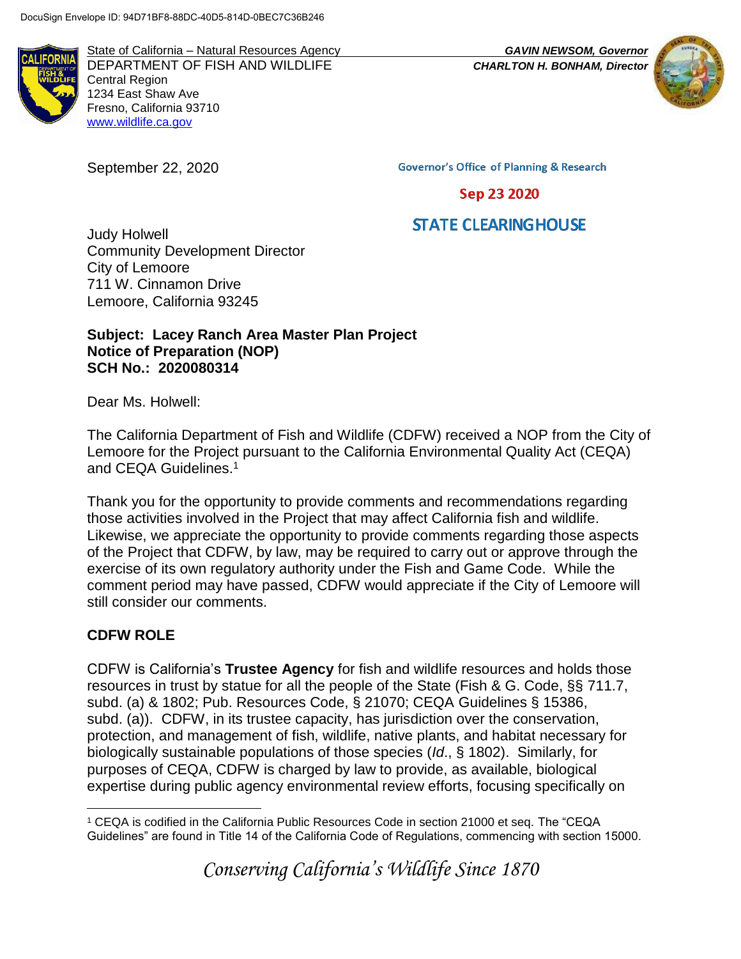

State of California – Natural Resources Agency *GAVIN NEWSOM, Governor* DEPARTMENT OF FISH AND WILDLIFE *CHARLTON H. BONHAM, Director* Central Region 1234 East Shaw Ave Fresno, California 93710 [www.wildlife.ca.gov](http://www.wildlife.ca.gov/)

September 22, 2020



**Governor's Office of Planning & Research** 

Sep 23 2020

# **STATE CLEARINGHOUSE**

Judy Holwell Community Development Director City of Lemoore 711 W. Cinnamon Drive Lemoore, California 93245

## **Subject: Lacey Ranch Area Master Plan Project Notice of Preparation (NOP) SCH No.: 2020080314**

Dear Ms. Holwell:

The California Department of Fish and Wildlife (CDFW) received a NOP from the City of Lemoore for the Project pursuant to the California Environmental Quality Act (CEQA) and CEQA Guidelines.<sup>1</sup>

Thank you for the opportunity to provide comments and recommendations regarding those activities involved in the Project that may affect California fish and wildlife. Likewise, we appreciate the opportunity to provide comments regarding those aspects of the Project that CDFW, by law, may be required to carry out or approve through the exercise of its own regulatory authority under the Fish and Game Code. While the comment period may have passed, CDFW would appreciate if the City of Lemoore will still consider our comments.

# **CDFW ROLE**

CDFW is California's **Trustee Agency** for fish and wildlife resources and holds those resources in trust by statue for all the people of the State (Fish & G. Code, §§ 711.7, subd. (a) & 1802; Pub. Resources Code, § 21070; CEQA Guidelines § 15386, subd. (a)). CDFW, in its trustee capacity, has jurisdiction over the conservation, protection, and management of fish, wildlife, native plants, and habitat necessary for biologically sustainable populations of those species (*Id*., § 1802). Similarly, for purposes of CEQA, CDFW is charged by law to provide, as available, biological expertise during public agency environmental review efforts, focusing specifically on

*Conserving California's Wildlife Since 1870*

 $\overline{a}$ <sup>1</sup> CEQA is codified in the California Public Resources Code in section 21000 et seq. The "CEQA Guidelines" are found in Title 14 of the California Code of Regulations, commencing with section 15000.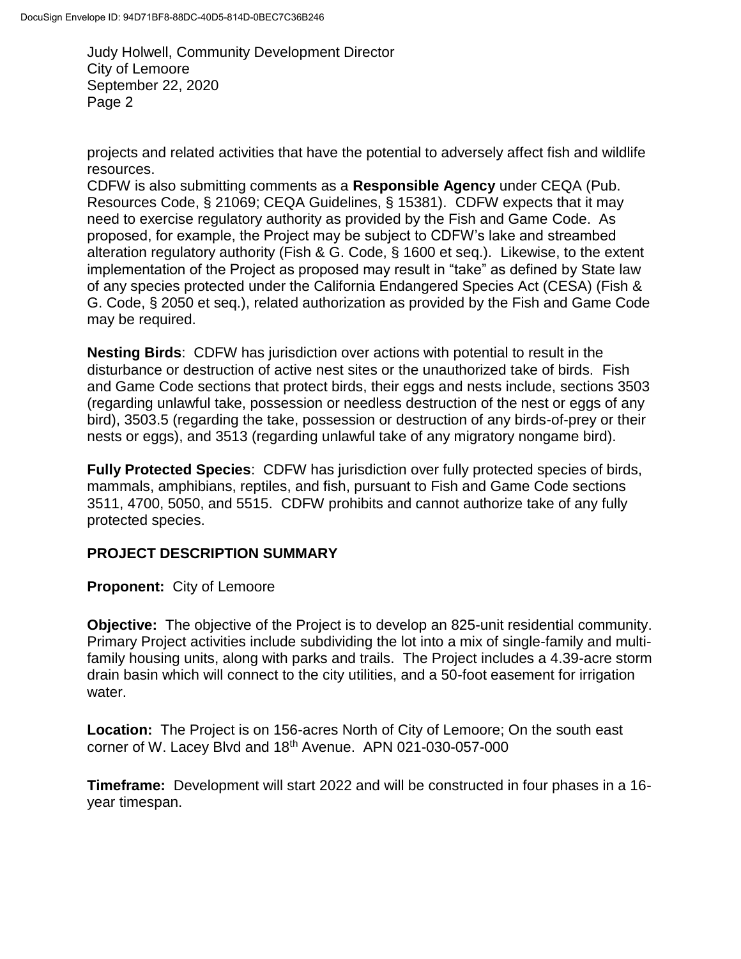projects and related activities that have the potential to adversely affect fish and wildlife resources.

CDFW is also submitting comments as a **Responsible Agency** under CEQA (Pub. Resources Code, § 21069; CEQA Guidelines, § 15381). CDFW expects that it may need to exercise regulatory authority as provided by the Fish and Game Code. As proposed, for example, the Project may be subject to CDFW's lake and streambed alteration regulatory authority (Fish & G. Code, § 1600 et seq.). Likewise, to the extent implementation of the Project as proposed may result in "take" as defined by State law of any species protected under the California Endangered Species Act (CESA) (Fish & G. Code, § 2050 et seq.), related authorization as provided by the Fish and Game Code may be required.

**Nesting Birds**: CDFW has jurisdiction over actions with potential to result in the disturbance or destruction of active nest sites or the unauthorized take of birds. Fish and Game Code sections that protect birds, their eggs and nests include, sections 3503 (regarding unlawful take, possession or needless destruction of the nest or eggs of any bird), 3503.5 (regarding the take, possession or destruction of any birds-of-prey or their nests or eggs), and 3513 (regarding unlawful take of any migratory nongame bird).

**Fully Protected Species**: CDFW has jurisdiction over fully protected species of birds, mammals, amphibians, reptiles, and fish, pursuant to Fish and Game Code sections 3511, 4700, 5050, and 5515. CDFW prohibits and cannot authorize take of any fully protected species.

# **PROJECT DESCRIPTION SUMMARY**

**Proponent:** City of Lemoore

**Objective:** The objective of the Project is to develop an 825-unit residential community. Primary Project activities include subdividing the lot into a mix of single-family and multifamily housing units, along with parks and trails. The Project includes a 4.39-acre storm drain basin which will connect to the city utilities, and a 50-foot easement for irrigation water.

**Location:** The Project is on 156-acres North of City of Lemoore; On the south east corner of W. Lacey Blvd and 18<sup>th</sup> Avenue. APN 021-030-057-000

**Timeframe:** Development will start 2022 and will be constructed in four phases in a 16 year timespan.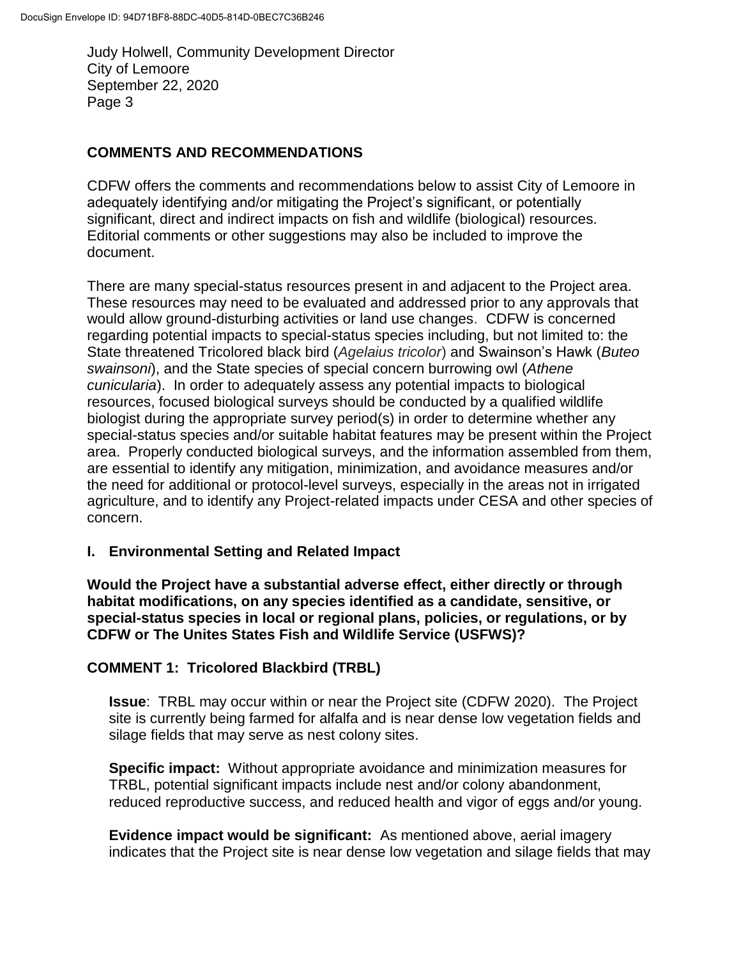### **COMMENTS AND RECOMMENDATIONS**

CDFW offers the comments and recommendations below to assist City of Lemoore in adequately identifying and/or mitigating the Project's significant, or potentially significant, direct and indirect impacts on fish and wildlife (biological) resources. Editorial comments or other suggestions may also be included to improve the document.

There are many special-status resources present in and adjacent to the Project area. These resources may need to be evaluated and addressed prior to any approvals that would allow ground-disturbing activities or land use changes. CDFW is concerned regarding potential impacts to special-status species including, but not limited to: the State threatened Tricolored black bird (*Agelaius tricolor*) and Swainson's Hawk (*Buteo swainsoni*), and the State species of special concern burrowing owl (*Athene cunicularia*). In order to adequately assess any potential impacts to biological resources, focused biological surveys should be conducted by a qualified wildlife biologist during the appropriate survey period(s) in order to determine whether any special-status species and/or suitable habitat features may be present within the Project area. Properly conducted biological surveys, and the information assembled from them, are essential to identify any mitigation, minimization, and avoidance measures and/or the need for additional or protocol-level surveys, especially in the areas not in irrigated agriculture, and to identify any Project-related impacts under CESA and other species of concern.

### **I. Environmental Setting and Related Impact**

**Would the Project have a substantial adverse effect, either directly or through habitat modifications, on any species identified as a candidate, sensitive, or special-status species in local or regional plans, policies, or regulations, or by CDFW or The Unites States Fish and Wildlife Service (USFWS)?** 

### **COMMENT 1: Tricolored Blackbird (TRBL)**

**Issue**: TRBL may occur within or near the Project site (CDFW 2020). The Project site is currently being farmed for alfalfa and is near dense low vegetation fields and silage fields that may serve as nest colony sites.

**Specific impact:** Without appropriate avoidance and minimization measures for TRBL, potential significant impacts include nest and/or colony abandonment, reduced reproductive success, and reduced health and vigor of eggs and/or young.

**Evidence impact would be significant:** As mentioned above, aerial imagery indicates that the Project site is near dense low vegetation and silage fields that may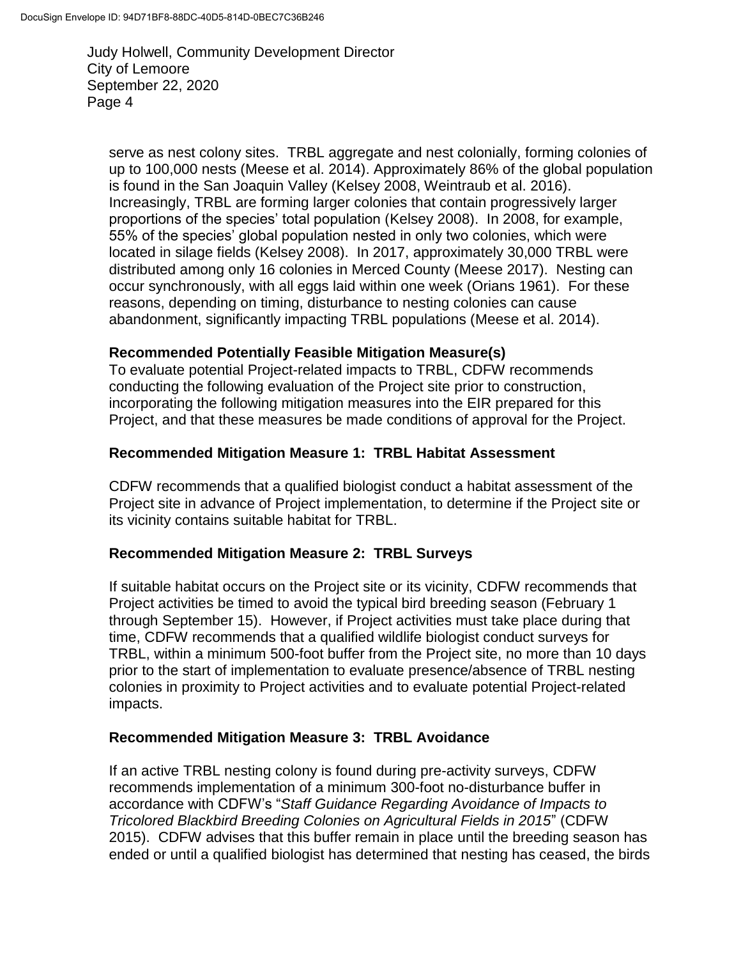serve as nest colony sites. TRBL aggregate and nest colonially, forming colonies of up to 100,000 nests (Meese et al. 2014). Approximately 86% of the global population is found in the San Joaquin Valley (Kelsey 2008, Weintraub et al. 2016). Increasingly, TRBL are forming larger colonies that contain progressively larger proportions of the species' total population (Kelsey 2008). In 2008, for example, 55% of the species' global population nested in only two colonies, which were located in silage fields (Kelsey 2008). In 2017, approximately 30,000 TRBL were distributed among only 16 colonies in Merced County (Meese 2017). Nesting can occur synchronously, with all eggs laid within one week (Orians 1961). For these reasons, depending on timing, disturbance to nesting colonies can cause abandonment, significantly impacting TRBL populations (Meese et al. 2014).

### **Recommended Potentially Feasible Mitigation Measure(s)**

To evaluate potential Project-related impacts to TRBL, CDFW recommends conducting the following evaluation of the Project site prior to construction, incorporating the following mitigation measures into the EIR prepared for this Project, and that these measures be made conditions of approval for the Project.

## **Recommended Mitigation Measure 1: TRBL Habitat Assessment**

CDFW recommends that a qualified biologist conduct a habitat assessment of the Project site in advance of Project implementation, to determine if the Project site or its vicinity contains suitable habitat for TRBL.

### **Recommended Mitigation Measure 2: TRBL Surveys**

If suitable habitat occurs on the Project site or its vicinity, CDFW recommends that Project activities be timed to avoid the typical bird breeding season (February 1 through September 15). However, if Project activities must take place during that time, CDFW recommends that a qualified wildlife biologist conduct surveys for TRBL, within a minimum 500-foot buffer from the Project site, no more than 10 days prior to the start of implementation to evaluate presence/absence of TRBL nesting colonies in proximity to Project activities and to evaluate potential Project-related impacts.

### **Recommended Mitigation Measure 3: TRBL Avoidance**

If an active TRBL nesting colony is found during pre-activity surveys, CDFW recommends implementation of a minimum 300-foot no-disturbance buffer in accordance with CDFW's "*Staff Guidance Regarding Avoidance of Impacts to Tricolored Blackbird Breeding Colonies on Agricultural Fields in 2015*" (CDFW 2015). CDFW advises that this buffer remain in place until the breeding season has ended or until a qualified biologist has determined that nesting has ceased, the birds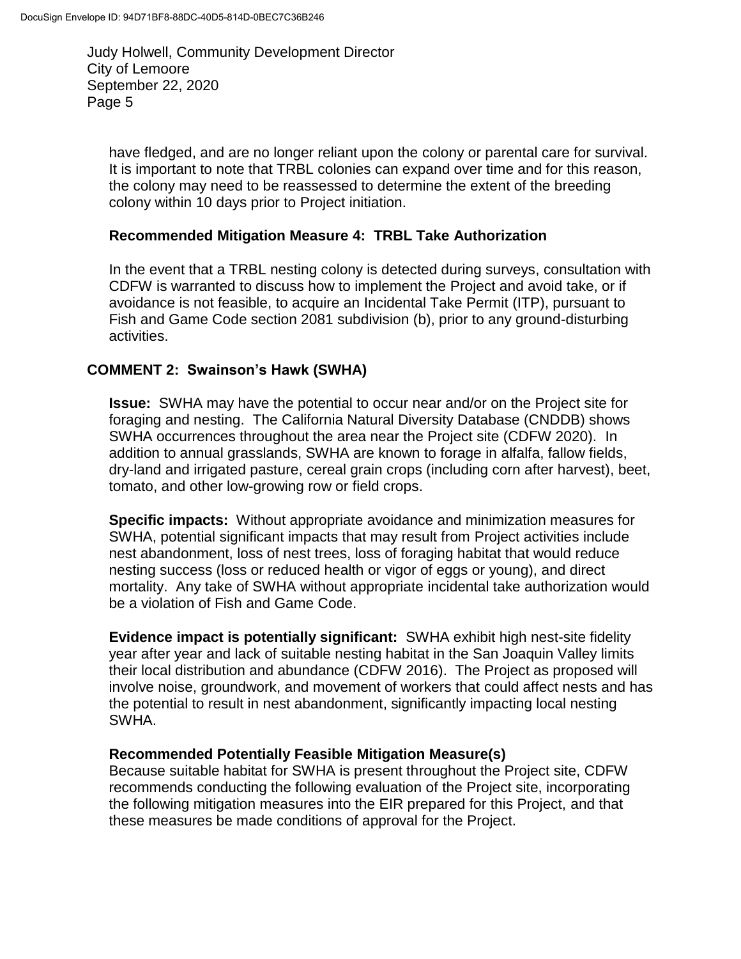have fledged, and are no longer reliant upon the colony or parental care for survival. It is important to note that TRBL colonies can expand over time and for this reason, the colony may need to be reassessed to determine the extent of the breeding colony within 10 days prior to Project initiation.

#### **Recommended Mitigation Measure 4: TRBL Take Authorization**

In the event that a TRBL nesting colony is detected during surveys, consultation with CDFW is warranted to discuss how to implement the Project and avoid take, or if avoidance is not feasible, to acquire an Incidental Take Permit (ITP), pursuant to Fish and Game Code section 2081 subdivision (b), prior to any ground-disturbing activities.

### **COMMENT 2: Swainson's Hawk (SWHA)**

**Issue:** SWHA may have the potential to occur near and/or on the Project site for foraging and nesting. The California Natural Diversity Database (CNDDB) shows SWHA occurrences throughout the area near the Project site (CDFW 2020). In addition to annual grasslands, SWHA are known to forage in alfalfa, fallow fields, dry-land and irrigated pasture, cereal grain crops (including corn after harvest), beet, tomato, and other low-growing row or field crops.

**Specific impacts:** Without appropriate avoidance and minimization measures for SWHA, potential significant impacts that may result from Project activities include nest abandonment, loss of nest trees, loss of foraging habitat that would reduce nesting success (loss or reduced health or vigor of eggs or young), and direct mortality. Any take of SWHA without appropriate incidental take authorization would be a violation of Fish and Game Code.

**Evidence impact is potentially significant:** SWHA exhibit high nest-site fidelity year after year and lack of suitable nesting habitat in the San Joaquin Valley limits their local distribution and abundance (CDFW 2016). The Project as proposed will involve noise, groundwork, and movement of workers that could affect nests and has the potential to result in nest abandonment, significantly impacting local nesting SWHA.

### **Recommended Potentially Feasible Mitigation Measure(s)**

Because suitable habitat for SWHA is present throughout the Project site, CDFW recommends conducting the following evaluation of the Project site, incorporating the following mitigation measures into the EIR prepared for this Project, and that these measures be made conditions of approval for the Project.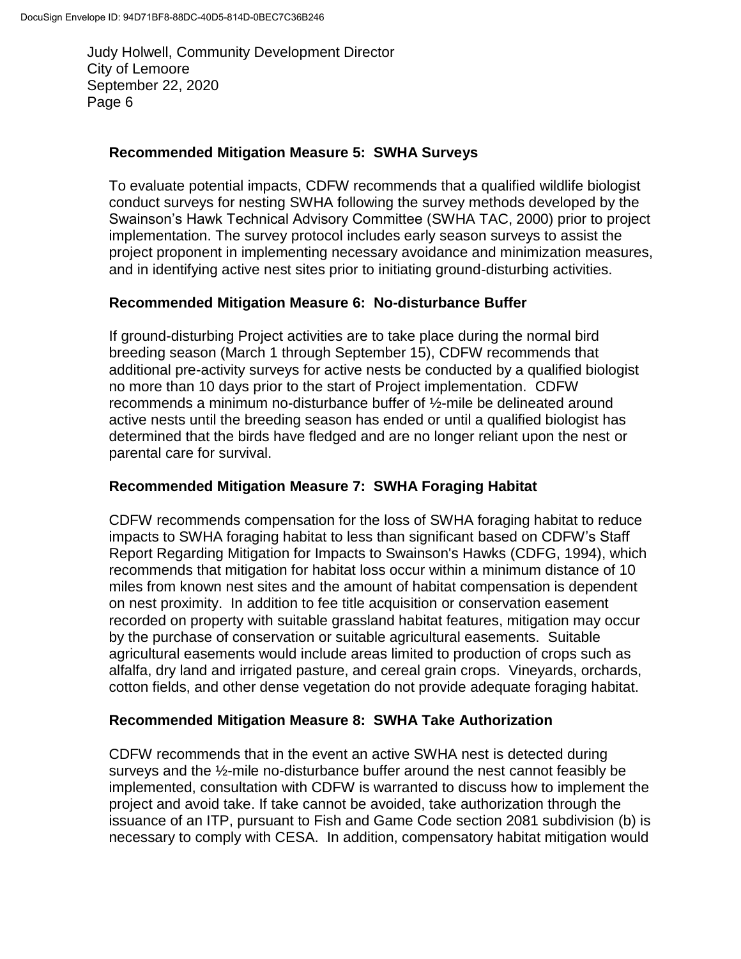#### **Recommended Mitigation Measure 5: SWHA Surveys**

To evaluate potential impacts, CDFW recommends that a qualified wildlife biologist conduct surveys for nesting SWHA following the survey methods developed by the Swainson's Hawk Technical Advisory Committee (SWHA TAC, 2000) prior to project implementation. The survey protocol includes early season surveys to assist the project proponent in implementing necessary avoidance and minimization measures, and in identifying active nest sites prior to initiating ground-disturbing activities.

### **Recommended Mitigation Measure 6: No-disturbance Buffer**

If ground-disturbing Project activities are to take place during the normal bird breeding season (March 1 through September 15), CDFW recommends that additional pre-activity surveys for active nests be conducted by a qualified biologist no more than 10 days prior to the start of Project implementation. CDFW recommends a minimum no-disturbance buffer of ½-mile be delineated around active nests until the breeding season has ended or until a qualified biologist has determined that the birds have fledged and are no longer reliant upon the nest or parental care for survival.

### **Recommended Mitigation Measure 7: SWHA Foraging Habitat**

CDFW recommends compensation for the loss of SWHA foraging habitat to reduce impacts to SWHA foraging habitat to less than significant based on CDFW's Staff Report Regarding Mitigation for Impacts to Swainson's Hawks (CDFG, 1994), which recommends that mitigation for habitat loss occur within a minimum distance of 10 miles from known nest sites and the amount of habitat compensation is dependent on nest proximity. In addition to fee title acquisition or conservation easement recorded on property with suitable grassland habitat features, mitigation may occur by the purchase of conservation or suitable agricultural easements. Suitable agricultural easements would include areas limited to production of crops such as alfalfa, dry land and irrigated pasture, and cereal grain crops. Vineyards, orchards, cotton fields, and other dense vegetation do not provide adequate foraging habitat.

#### **Recommended Mitigation Measure 8: SWHA Take Authorization**

CDFW recommends that in the event an active SWHA nest is detected during surveys and the ½-mile no-disturbance buffer around the nest cannot feasibly be implemented, consultation with CDFW is warranted to discuss how to implement the project and avoid take. If take cannot be avoided, take authorization through the issuance of an ITP, pursuant to Fish and Game Code section 2081 subdivision (b) is necessary to comply with CESA. In addition, compensatory habitat mitigation would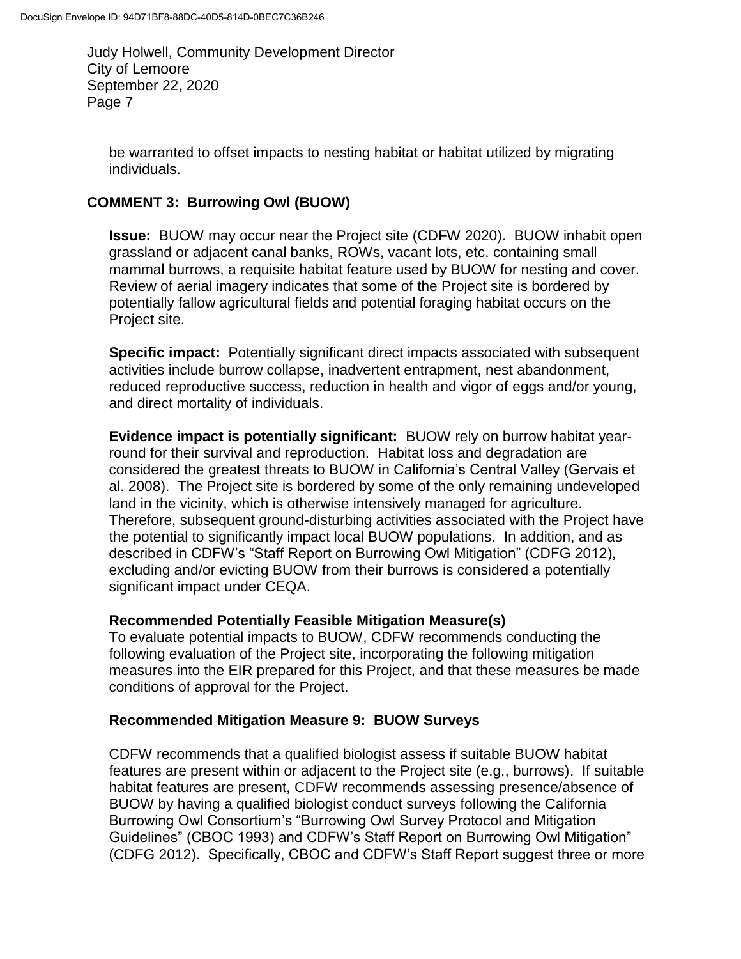be warranted to offset impacts to nesting habitat or habitat utilized by migrating individuals.

# **COMMENT 3: Burrowing Owl (BUOW)**

**Issue:** BUOW may occur near the Project site (CDFW 2020). BUOW inhabit open grassland or adjacent canal banks, ROWs, vacant lots, etc. containing small mammal burrows, a requisite habitat feature used by BUOW for nesting and cover. Review of aerial imagery indicates that some of the Project site is bordered by potentially fallow agricultural fields and potential foraging habitat occurs on the Project site.

**Specific impact:** Potentially significant direct impacts associated with subsequent activities include burrow collapse, inadvertent entrapment, nest abandonment, reduced reproductive success, reduction in health and vigor of eggs and/or young, and direct mortality of individuals.

**Evidence impact is potentially significant:** BUOW rely on burrow habitat yearround for their survival and reproduction. Habitat loss and degradation are considered the greatest threats to BUOW in California's Central Valley (Gervais et al. 2008). The Project site is bordered by some of the only remaining undeveloped land in the vicinity, which is otherwise intensively managed for agriculture. Therefore, subsequent ground-disturbing activities associated with the Project have the potential to significantly impact local BUOW populations. In addition, and as described in CDFW's "Staff Report on Burrowing Owl Mitigation" (CDFG 2012), excluding and/or evicting BUOW from their burrows is considered a potentially significant impact under CEQA.

### **Recommended Potentially Feasible Mitigation Measure(s)**

To evaluate potential impacts to BUOW, CDFW recommends conducting the following evaluation of the Project site, incorporating the following mitigation measures into the EIR prepared for this Project, and that these measures be made conditions of approval for the Project.

### **Recommended Mitigation Measure 9: BUOW Surveys**

CDFW recommends that a qualified biologist assess if suitable BUOW habitat features are present within or adjacent to the Project site (e.g., burrows). If suitable habitat features are present, CDFW recommends assessing presence/absence of BUOW by having a qualified biologist conduct surveys following the California Burrowing Owl Consortium's "Burrowing Owl Survey Protocol and Mitigation Guidelines" (CBOC 1993) and CDFW's Staff Report on Burrowing Owl Mitigation" (CDFG 2012). Specifically, CBOC and CDFW's Staff Report suggest three or more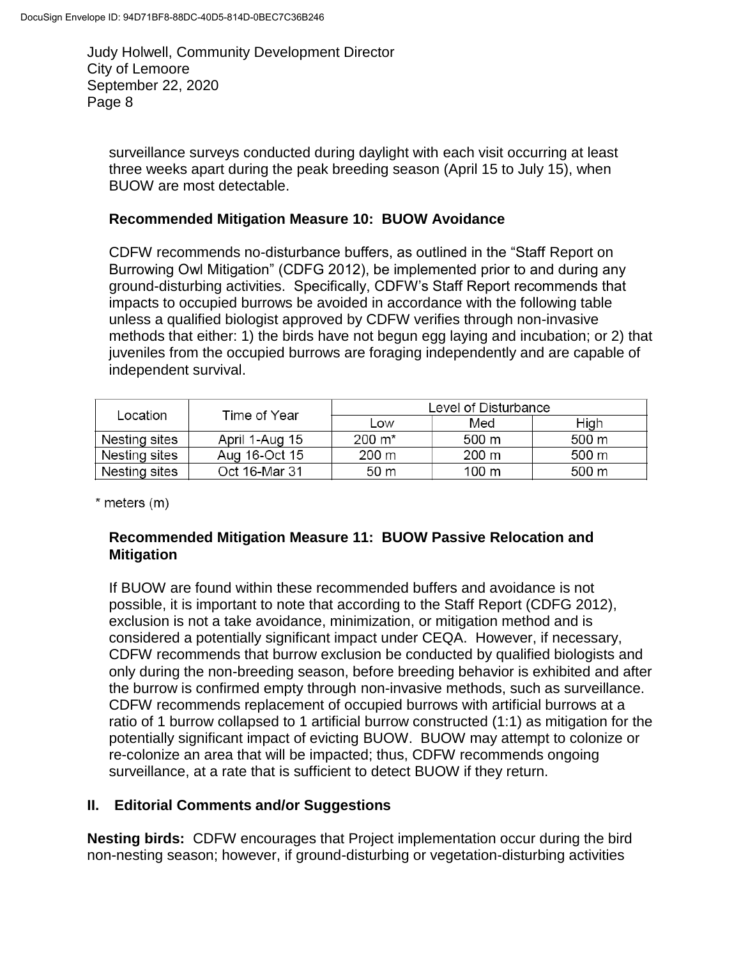surveillance surveys conducted during daylight with each visit occurring at least three weeks apart during the peak breeding season (April 15 to July 15), when BUOW are most detectable.

#### **Recommended Mitigation Measure 10: BUOW Avoidance**

CDFW recommends no-disturbance buffers, as outlined in the "Staff Report on Burrowing Owl Mitigation" (CDFG 2012), be implemented prior to and during any ground-disturbing activities. Specifically, CDFW's Staff Report recommends that impacts to occupied burrows be avoided in accordance with the following table unless a qualified biologist approved by CDFW verifies through non-invasive methods that either: 1) the birds have not begun egg laying and incubation; or 2) that juveniles from the occupied burrows are foraging independently and are capable of independent survival.

| Location      | Time of Year   | Level of Disturbance |       |       |
|---------------|----------------|----------------------|-------|-------|
|               |                | Low                  | Med   | High  |
| Nesting sites | April 1-Aug 15 | $200 \; \text{m}^*$  | 500 m | 500 m |
| Nesting sites | Aug 16-Oct 15  | 200 m                | 200 m | 500 m |
| Nesting sites | Oct 16-Mar 31  | 50 m                 | 100 m | 500 m |

\* meters (m)

### **Recommended Mitigation Measure 11: BUOW Passive Relocation and Mitigation**

If BUOW are found within these recommended buffers and avoidance is not possible, it is important to note that according to the Staff Report (CDFG 2012), exclusion is not a take avoidance, minimization, or mitigation method and is considered a potentially significant impact under CEQA. However, if necessary, CDFW recommends that burrow exclusion be conducted by qualified biologists and only during the non-breeding season, before breeding behavior is exhibited and after the burrow is confirmed empty through non-invasive methods, such as surveillance. CDFW recommends replacement of occupied burrows with artificial burrows at a ratio of 1 burrow collapsed to 1 artificial burrow constructed (1:1) as mitigation for the potentially significant impact of evicting BUOW. BUOW may attempt to colonize or re-colonize an area that will be impacted; thus, CDFW recommends ongoing surveillance, at a rate that is sufficient to detect BUOW if they return.

### **II. Editorial Comments and/or Suggestions**

**Nesting birds:** CDFW encourages that Project implementation occur during the bird non-nesting season; however, if ground-disturbing or vegetation-disturbing activities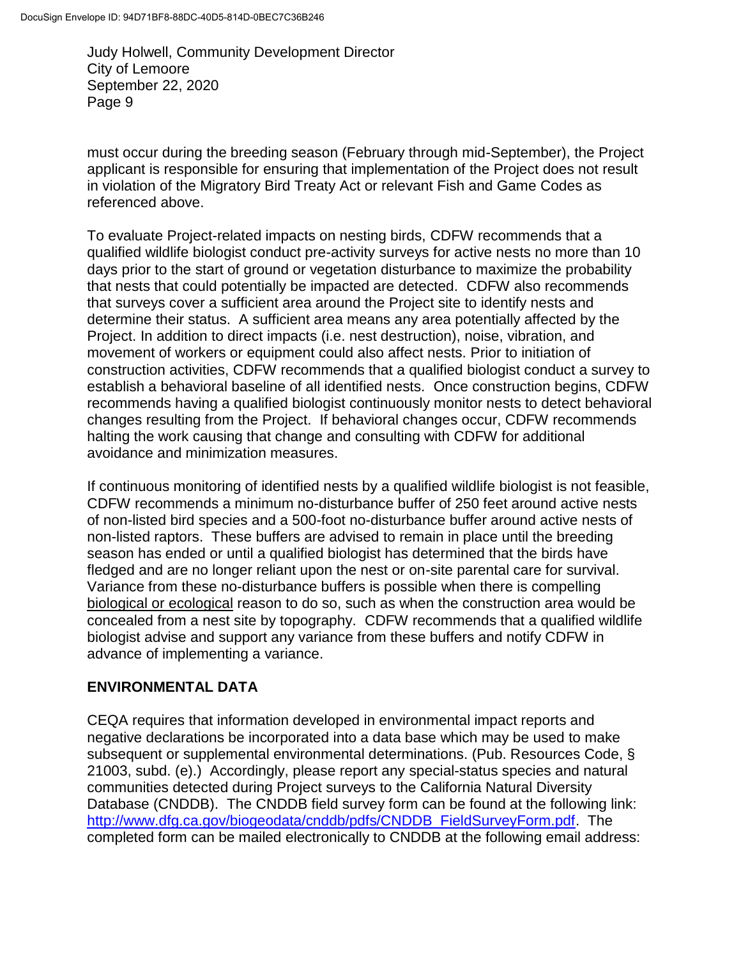must occur during the breeding season (February through mid-September), the Project applicant is responsible for ensuring that implementation of the Project does not result in violation of the Migratory Bird Treaty Act or relevant Fish and Game Codes as referenced above.

To evaluate Project-related impacts on nesting birds, CDFW recommends that a qualified wildlife biologist conduct pre-activity surveys for active nests no more than 10 days prior to the start of ground or vegetation disturbance to maximize the probability that nests that could potentially be impacted are detected. CDFW also recommends that surveys cover a sufficient area around the Project site to identify nests and determine their status. A sufficient area means any area potentially affected by the Project. In addition to direct impacts (i.e. nest destruction), noise, vibration, and movement of workers or equipment could also affect nests. Prior to initiation of construction activities, CDFW recommends that a qualified biologist conduct a survey to establish a behavioral baseline of all identified nests. Once construction begins, CDFW recommends having a qualified biologist continuously monitor nests to detect behavioral changes resulting from the Project. If behavioral changes occur, CDFW recommends halting the work causing that change and consulting with CDFW for additional avoidance and minimization measures.

If continuous monitoring of identified nests by a qualified wildlife biologist is not feasible, CDFW recommends a minimum no-disturbance buffer of 250 feet around active nests of non-listed bird species and a 500-foot no-disturbance buffer around active nests of non-listed raptors. These buffers are advised to remain in place until the breeding season has ended or until a qualified biologist has determined that the birds have fledged and are no longer reliant upon the nest or on-site parental care for survival. Variance from these no-disturbance buffers is possible when there is compelling biological or ecological reason to do so, such as when the construction area would be concealed from a nest site by topography. CDFW recommends that a qualified wildlife biologist advise and support any variance from these buffers and notify CDFW in advance of implementing a variance.

### **ENVIRONMENTAL DATA**

CEQA requires that information developed in environmental impact reports and negative declarations be incorporated into a data base which may be used to make subsequent or supplemental environmental determinations. (Pub. Resources Code, § 21003, subd. (e).) Accordingly, please report any special-status species and natural communities detected during Project surveys to the California Natural Diversity Database (CNDDB). The CNDDB field survey form can be found at the following link: [http://www.dfg.ca.gov/biogeodata/cnddb/pdfs/CNDDB\\_FieldSurveyForm.pdf.](http://www.dfg.ca.gov/biogeodata/cnddb/pdfs/CNDDB_FieldSurveyForm.pdf) The completed form can be mailed electronically to CNDDB at the following email address: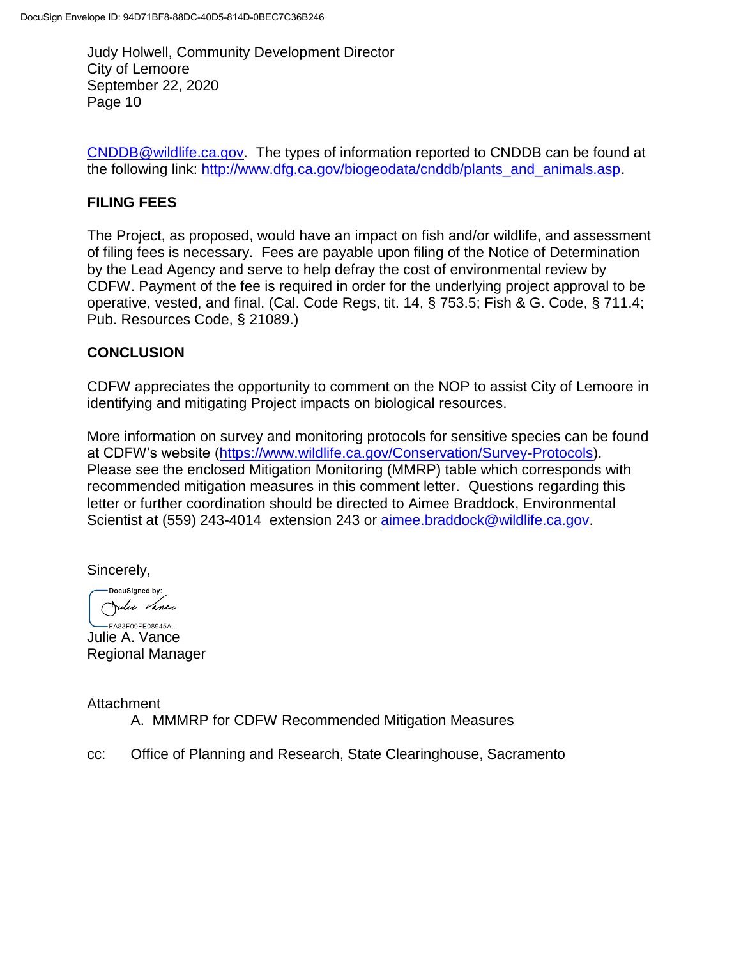[CNDDB@wildlife.ca.gov.](mailto:cnddb@dfg.ca.gov) The types of information reported to CNDDB can be found at the following link: [http://www.dfg.ca.gov/biogeodata/cnddb/plants\\_and\\_animals.asp.](http://www.dfg.ca.gov/biogeodata/cnddb/plants_and_animals.asp)

## **FILING FEES**

The Project, as proposed, would have an impact on fish and/or wildlife, and assessment of filing fees is necessary. Fees are payable upon filing of the Notice of Determination by the Lead Agency and serve to help defray the cost of environmental review by CDFW. Payment of the fee is required in order for the underlying project approval to be operative, vested, and final. (Cal. Code Regs, tit. 14, § 753.5; Fish & G. Code, § 711.4; Pub. Resources Code, § 21089.)

### **CONCLUSION**

CDFW appreciates the opportunity to comment on the NOP to assist City of Lemoore in identifying and mitigating Project impacts on biological resources.

More information on survey and monitoring protocols for sensitive species can be found at CDFW's website [\(https://www.wildlife.ca.gov/Conservation/Survey-Protocols\)](https://www.wildlife.ca.gov/Conservation/Survey-Protocols). Please see the enclosed Mitigation Monitoring (MMRP) table which corresponds with recommended mitigation measures in this comment letter. Questions regarding this letter or further coordination should be directed to Aimee Braddock, Environmental Scientist at (559) 243-4014 extension 243 or [aimee.braddock@wildlife.ca.gov.](mailto:aimee.braddock@wildlife.ca.gov)

Sincerely,

DocuSianed by: Julie Vance

 $-FA83F09FF08945A$ Julie A. Vance Regional Manager

Attachment A. MMMRP for CDFW Recommended Mitigation Measures

cc: Office of Planning and Research, State Clearinghouse, Sacramento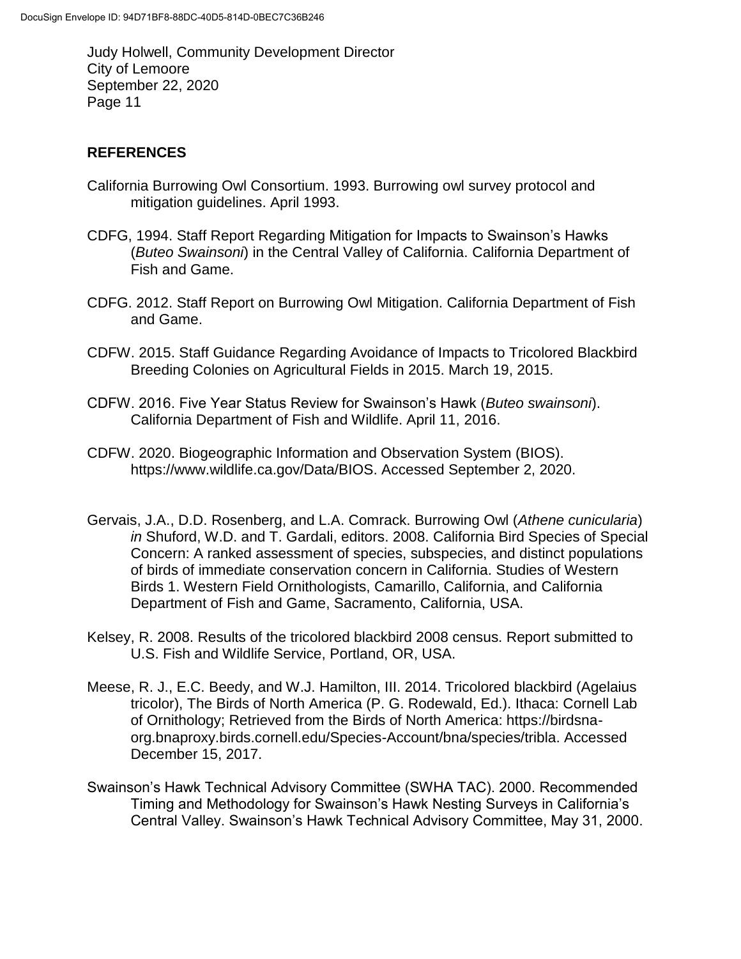## **REFERENCES**

- California Burrowing Owl Consortium. 1993. Burrowing owl survey protocol and mitigation guidelines. April 1993.
- CDFG, 1994. Staff Report Regarding Mitigation for Impacts to Swainson's Hawks (*Buteo Swainsoni*) in the Central Valley of California. California Department of Fish and Game.
- CDFG. 2012. Staff Report on Burrowing Owl Mitigation. California Department of Fish and Game.
- CDFW. 2015. Staff Guidance Regarding Avoidance of Impacts to Tricolored Blackbird Breeding Colonies on Agricultural Fields in 2015. March 19, 2015.
- CDFW. 2016. Five Year Status Review for Swainson's Hawk (*Buteo swainsoni*). California Department of Fish and Wildlife. April 11, 2016.
- CDFW. 2020. Biogeographic Information and Observation System (BIOS). https://www.wildlife.ca.gov/Data/BIOS. Accessed September 2, 2020.
- Gervais, J.A., D.D. Rosenberg, and L.A. Comrack. Burrowing Owl (*Athene cunicularia*) *in* Shuford, W.D. and T. Gardali, editors. 2008. California Bird Species of Special Concern: A ranked assessment of species, subspecies, and distinct populations of birds of immediate conservation concern in California. Studies of Western Birds 1. Western Field Ornithologists, Camarillo, California, and California Department of Fish and Game, Sacramento, California, USA.
- Kelsey, R. 2008. Results of the tricolored blackbird 2008 census. Report submitted to U.S. Fish and Wildlife Service, Portland, OR, USA.
- Meese, R. J., E.C. Beedy, and W.J. Hamilton, III. 2014. Tricolored blackbird (Agelaius tricolor), The Birds of North America (P. G. Rodewald, Ed.). Ithaca: Cornell Lab of Ornithology; Retrieved from the Birds of North America: https://birdsnaorg.bnaproxy.birds.cornell.edu/Species-Account/bna/species/tribla. Accessed December 15, 2017.
- Swainson's Hawk Technical Advisory Committee (SWHA TAC). 2000. Recommended Timing and Methodology for Swainson's Hawk Nesting Surveys in California's Central Valley. Swainson's Hawk Technical Advisory Committee, May 31, 2000.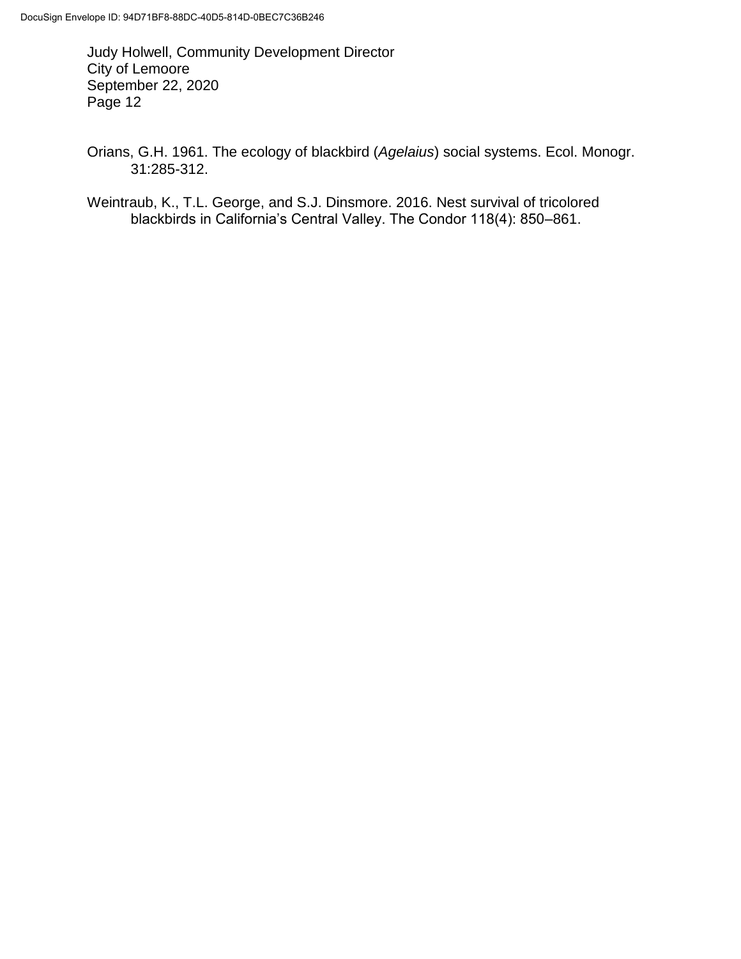Orians, G.H. 1961. The ecology of blackbird (*Agelaius*) social systems. Ecol. Monogr. 31:285-312.

Weintraub, K., T.L. George, and S.J. Dinsmore. 2016. Nest survival of tricolored blackbirds in California's Central Valley. The Condor 118(4): 850–861.